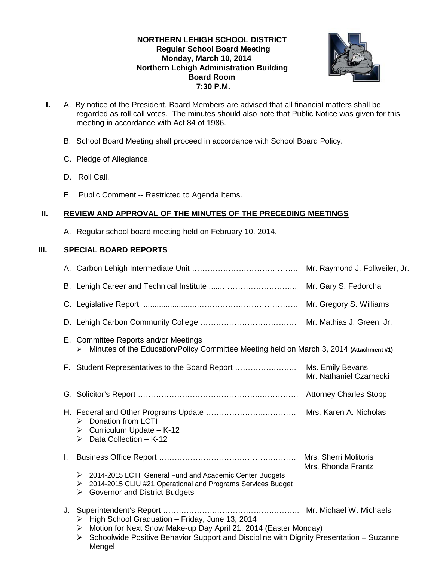## **NORTHERN LEHIGH SCHOOL DISTRICT Regular School Board Meeting Monday, March 10, 2014 Northern Lehigh Administration Building Board Room 7:30 P.M.**



- **I.** A. By notice of the President, Board Members are advised that all financial matters shall be regarded as roll call votes. The minutes should also note that Public Notice was given for this meeting in accordance with Act 84 of 1986.
	- B. School Board Meeting shall proceed in accordance with School Board Policy.
	- C. Pledge of Allegiance.
	- D. Roll Call.
	- E. Public Comment -- Restricted to Agenda Items.

# **II. REVIEW AND APPROVAL OF THE MINUTES OF THE PRECEDING MEETINGS**

A. Regular school board meeting held on February 10, 2014.

## **III. SPECIAL BOARD REPORTS**

| E. Committee Reports and/or Meetings<br>Minutes of the Education/Policy Committee Meeting held on March 3, 2014 (Attachment #1)<br>➤                                                                                                              |                                             |  |
|---------------------------------------------------------------------------------------------------------------------------------------------------------------------------------------------------------------------------------------------------|---------------------------------------------|--|
|                                                                                                                                                                                                                                                   | Mr. Nathaniel Czarnecki                     |  |
|                                                                                                                                                                                                                                                   |                                             |  |
| > Donation from LCTI<br>$\triangleright$ Curriculum Update - K-12<br>$\triangleright$ Data Collection - K-12                                                                                                                                      |                                             |  |
| L.                                                                                                                                                                                                                                                | Mrs. Sherri Molitoris<br>Mrs. Rhonda Frantz |  |
| > 2014-2015 LCTI General Fund and Academic Center Budgets<br>2014-2015 CLIU #21 Operational and Programs Services Budget<br>➤<br><b>Governor and District Budgets</b><br>≻                                                                        |                                             |  |
| $\triangleright$ High School Graduation - Friday, June 13, 2014<br>Motion for Next Snow Make-up Day April 21, 2014 (Easter Monday)<br>➤<br>Schoolwide Positive Behavior Support and Discipline with Dignity Presentation - Suzanne<br>➤<br>Mengel |                                             |  |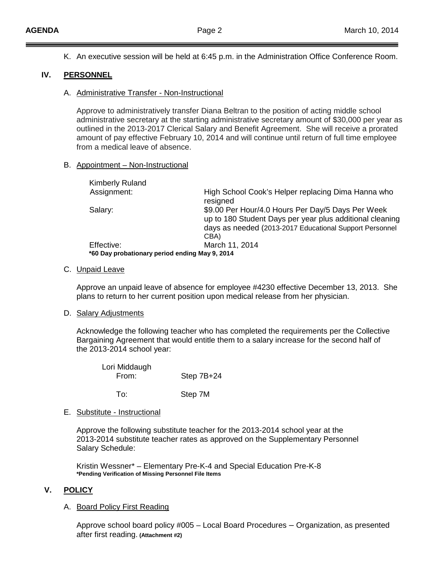K. An executive session will be held at 6:45 p.m. in the Administration Office Conference Room.

### **IV. PERSONNEL**

A. Administrative Transfer - Non-Instructional

Approve to administratively transfer Diana Beltran to the position of acting middle school administrative secretary at the starting administrative secretary amount of \$30,000 per year as outlined in the 2013-2017 Clerical Salary and Benefit Agreement. She will receive a prorated amount of pay effective February 10, 2014 and will continue until return of full time employee from a medical leave of absence.

#### B. Appointment – Non-Instructional

| <b>Kimberly Ruland</b>                         |                                                                                                                                                                          |
|------------------------------------------------|--------------------------------------------------------------------------------------------------------------------------------------------------------------------------|
| Assignment:                                    | High School Cook's Helper replacing Dima Hanna who<br>resigned                                                                                                           |
| Salary:                                        | \$9.00 Per Hour/4.0 Hours Per Day/5 Days Per Week<br>up to 180 Student Days per year plus additional cleaning<br>days as needed (2013-2017 Educational Support Personnel |
|                                                | CBA)                                                                                                                                                                     |
| Effective:                                     | March 11, 2014                                                                                                                                                           |
| *60 Day probationary period ending May 9, 2014 |                                                                                                                                                                          |

#### C. Unpaid Leave

Approve an unpaid leave of absence for employee #4230 effective December 13, 2013. She plans to return to her current position upon medical release from her physician.

### D. Salary Adjustments

Acknowledge the following teacher who has completed the requirements per the Collective Bargaining Agreement that would entitle them to a salary increase for the second half of the 2013-2014 school year:

| Lori Middaugh<br>From: | Step $7B+24$ |
|------------------------|--------------|
| To:                    | Step 7M      |

E. Substitute - Instructional

Approve the following substitute teacher for the 2013-2014 school year at the 2013-2014 substitute teacher rates as approved on the Supplementary Personnel Salary Schedule:

Kristin Wessner\* – Elementary Pre-K-4 and Special Education Pre-K-8 **\*Pending Verification of Missing Personnel File Items**

### **V. POLICY**

### A. Board Policy First Reading

Approve school board policy #005 – Local Board Procedures – Organization, as presented after first reading. **(Attachment #2)**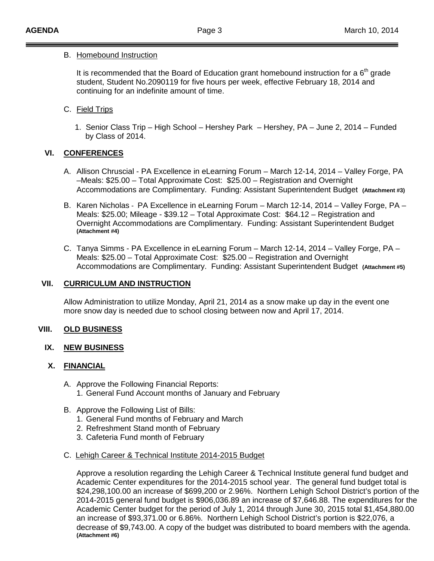### B. Homebound Instruction

It is recommended that the Board of Education grant homebound instruction for a  $6<sup>th</sup>$  grade student, Student No.2090119 for five hours per week, effective February 18, 2014 and continuing for an indefinite amount of time.

# C. Field Trips

 1. Senior Class Trip – High School – Hershey Park – Hershey, PA – June 2, 2014 – Funded by Class of 2014.

# **VI. CONFERENCES**

- A. Allison Chruscial PA Excellence in eLearning Forum March 12-14, 2014 Valley Forge, PA –Meals: \$25.00 – Total Approximate Cost: \$25.00 – Registration and Overnight Accommodations are Complimentary. Funding: Assistant Superintendent Budget **(Attachment #3)**
- B. Karen Nicholas PA Excellence in eLearning Forum March 12-14, 2014 Valley Forge, PA Meals: \$25.00; Mileage - \$39.12 – Total Approximate Cost: \$64.12 – Registration and Overnight Accommodations are Complimentary. Funding: Assistant Superintendent Budget **(Attachment #4)**
- C. Tanya Simms PA Excellence in eLearning Forum March 12-14, 2014 Valley Forge, PA Meals: \$25.00 – Total Approximate Cost: \$25.00 – Registration and Overnight Accommodations are Complimentary. Funding: Assistant Superintendent Budget **(Attachment #5)**

## **VII. CURRICULUM AND INSTRUCTION**

Allow Administration to utilize Monday, April 21, 2014 as a snow make up day in the event one more snow day is needed due to school closing between now and April 17, 2014.

## **VIII. OLD BUSINESS**

## **IX. NEW BUSINESS**

## **X. FINANCIAL**

- A. Approve the Following Financial Reports: 1. General Fund Account months of January and February
- B. Approve the Following List of Bills:
	- 1. General Fund months of February and March
	- 2. Refreshment Stand month of February
	- 3. Cafeteria Fund month of February
- C. Lehigh Career & Technical Institute 2014-2015 Budget

Approve a resolution regarding the Lehigh Career & Technical Institute general fund budget and Academic Center expenditures for the 2014-2015 school year. The general fund budget total is \$24,298,100.00 an increase of \$699,200 or 2.96%. Northern Lehigh School District's portion of the 2014-2015 general fund budget is \$906,036.89 an increase of \$7,646.88. The expenditures for the Academic Center budget for the period of July 1, 2014 through June 30, 2015 total \$1,454,880.00 an increase of \$93,371.00 or 6.86%. Northern Lehigh School District's portion is \$22,076, a decrease of \$9,743.00. A copy of the budget was distributed to board members with the agenda. **(Attachment #6)**